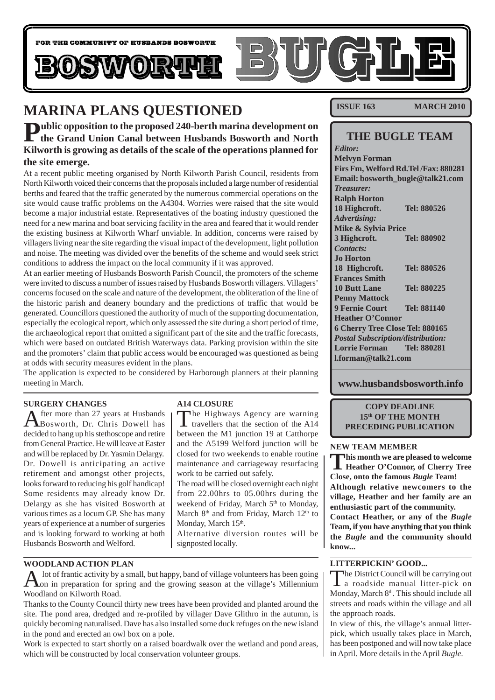

## **MARINA PLANS QUESTIONED**

**Public opposition to the proposed 240-berth marina development on the Grand Union Canal between Husbands Bosworth and North Kilworth is growing as details of the scale of the operations planned for the site emerge.**

At a recent public meeting organised by North Kilworth Parish Council, residents from North Kilworth voiced their concerns that the proposals included a large number of residential berths and feared that the traffic generated by the numerous commercial operations on the site would cause traffic problems on the A4304. Worries were raised that the site would become a major industrial estate. Representatives of the boating industry questioned the need for a new marina and boat servicing facility in the area and feared that it would render the existing business at Kilworth Wharf unviable. In addition, concerns were raised by villagers living near the site regarding the visual impact of the development, light pollution and noise. The meeting was divided over the benefits of the scheme and would seek strict conditions to address the impact on the local community if it was approved.

At an earlier meeting of Husbands Bosworth Parish Council, the promoters of the scheme were invited to discuss a number of issues raised by Husbands Bosworth villagers. Villagers' concerns focused on the scale and nature of the development, the obliteration of the line of the historic parish and deanery boundary and the predictions of traffic that would be generated. Councillors questioned the authority of much of the supporting documentation, especially the ecological report, which only assessed the site during a short period of time, the archaeological report that omitted a significant part of the site and the traffic forecasts, which were based on outdated British Waterways data. Parking provision within the site and the promoters' claim that public access would be encouraged was questioned as being at odds with security measures evident in the plans.

The application is expected to be considered by Harborough planners at their planning meeting in March.

### **SURGERY CHANGES**

After more than 27 years at Husbands Bosworth, Dr. Chris Dowell has decided to hang up his stethoscope and retire from General Practice. He will leave at Easter and will be replaced by Dr. Yasmin Delargy. Dr. Dowell is anticipating an active retirement and amongst other projects, looks forward to reducing his golf handicap! Some residents may already know Dr. Delargy as she has visited Bosworth at various times as a locum GP. She has many years of experience at a number of surgeries and is looking forward to working at both Husbands Bosworth and Welford.

### **A14 CLOSURE**

The Highways Agency are warning<br>travellers that the section of the A14 between the M1 junction 19 at Catthorpe and the A5199 Welford junction will be closed for two weekends to enable routine maintenance and carriageway resurfacing work to be carried out safely.

The road will be closed overnight each night from 22.00hrs to 05.00hrs during the weekend of Friday, March 5<sup>th</sup> to Monday, March 8<sup>th</sup> and from Friday, March 12<sup>th</sup> to Monday, March 15<sup>th</sup>.

Alternative diversion routes will be signposted locally.

### **WOODLAND ACTION PLAN**

 $\mathbf A$  lot of frantic activity by a small, but happy, band of village volunteers has been going on in preparation for spring and the growing season at the village's Millennium Woodland on Kilworth Road.

Thanks to the County Council thirty new trees have been provided and planted around the site. The pond area, dredged and re-profiled by villager Dave Glithro in the autumn, is quickly becoming naturalised. Dave has also installed some duck refuges on the new island in the pond and erected an owl box on a pole.

Work is expected to start shortly on a raised boardwalk over the wetland and pond areas. which will be constructed by local conservation volunteer groups.

**ISSUE 163 MARCH 2010** 

### **THE BUGLE TEAM**

*Editor:* **Melvyn Forman Firs Fm, Welford Rd.Tel /Fax: 880281 Email: bosworth\_bugle@talk21.com** *Treasurer:* **Ralph Horton 18 Highcroft. Tel: 880526** *Advertising:* **Mike & Sylvia Price 3 Highcroft. Tel: 880902** *Contacts:* **Jo Horton 18 Highcroft. Tel: 880526 Frances Smith 10 Butt Lane Tel: 880225 Penny Mattock 9 Fernie Court Tel: 881140 Heather O'Connor 6 Cherry Tree Close Tel: 880165** *Postal Subscription/distribution:* **Lorrie Forman Tel: 880281 l.forman@talk21.com**

**www.husbandsbosworth.info**

**COPY DEADLINE 15th OF THE MONTH PRECEDING PUBLICATION**

### **NEW TEAM MEMBER**

**This month we are pleased to welcome Heather O'Connor, of Cherry Tree Close, onto the famous** *Bugle* **Team! Although relative newcomers to the village, Heather and her family are an enthusiastic part of the community. Contact Heather, or any of the** *Bugle* **Team, if you have anything that you think**

**the** *Bugle* **and the community should know...**

### **LITTERPICKIN' GOOD...**

The District Council will be carrying out a roadside manual litter-pick on Monday, March 8<sup>th</sup>. This should include all streets and roads within the village and all the approach roads.

In view of this, the village's annual litterpick, which usually takes place in March, has been postponed and will now take place in April. More details in the April *Bugle*.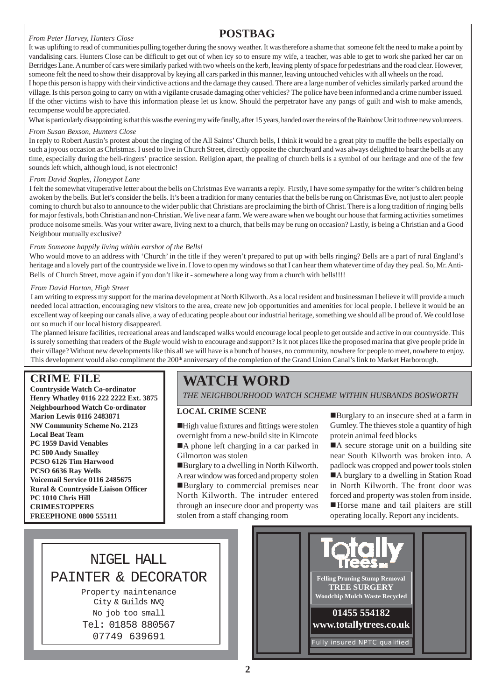### *From Peter Harvey, Hunters Close*

## **POSTBAG**

It was uplifting to read of communities pulling together during the snowy weather. It was therefore a shame that someone felt the need to make a point by vandalising cars. Hunters Close can be difficult to get out of when icy so to ensure my wife, a teacher, was able to get to work she parked her car on Berridges Lane. A number of cars were similarly parked with two wheels on the kerb, leaving plenty of space for pedestrians and the road clear. However, someone felt the need to show their disapproval by keying all cars parked in this manner, leaving untouched vehicles with all wheels on the road.

I hope this person is happy with their vindictive actions and the damage they caused. There are a large number of vehicles similarly parked around the village. Is this person going to carry on with a vigilante crusade damaging other vehicles? The police have been informed and a crime number issued. If the other victims wish to have this information please let us know. Should the perpetrator have any pangs of guilt and wish to make amends, recompense would be appreciated.

What is particularly disappointing is that this was the evening my wife finally, after 15 years, handed over the reins of the Rainbow Unit to three new volunteers.

### *From Susan Bexson, Hunters Close*

In reply to Robert Austin's protest about the ringing of the All Saints' Church bells, I think it would be a great pity to muffle the bells especially on such a joyous occasion as Christmas. I used to live in Church Street, directly opposite the churchyard and was always delighted to hear the bells at any time, especially during the bell-ringers' practice session. Religion apart, the pealing of church bells is a symbol of our heritage and one of the few sounds left which, although loud, is not electronic!

### *From David Staples, Honeypot Lane*

I felt the somewhat vituperative letter about the bells on Christmas Eve warrants a reply. Firstly, I have some sympathy for the writer's children being awoken by the bells. But let's consider the bells. It's been a tradition for many centuries that the bells be rung on Christmas Eve, not just to alert people coming to church but also to announce to the wider public that Christians are proclaiming the birth of Christ. There is a long tradition of ringing bells for major festivals, both Christian and non-Christian. We live near a farm. We were aware when we bought our house that farming activities sometimes produce noisome smells. Was your writer aware, living next to a church, that bells may be rung on occasion? Lastly, is being a Christian and a Good Neighbour mutually exclusive?

### *From Someone happily living within earshot of the Bells!*

Who would move to an address with 'Church' in the title if they weren't prepared to put up with bells ringing? Bells are a part of rural England's heritage and a lovely part of the countryside we live in. I love to open my windows so that I can hear them whatever time of day they peal. So, Mr. Anti-Bells of Church Street, move again if you don't like it - somewhere a long way from a church with bells!!!!

### *From David Horton, High Street*

I am writing to express my support for the marina development at North Kilworth. As a local resident and businessman I believe it will provide a much needed local attraction, encouraging new visitors to the area, create new job opportunities and amenities for local people. I believe it would be an excellent way of keeping our canals alive, a way of educating people about our industrial heritage, something we should all be proud of. We could lose out so much if our local history disappeared.

The planned leisure facilities, recreational areas and landscaped walks would encourage local people to get outside and active in our countryside. This is surely something that readers of the *Bugle* would wish to encourage and support? Is it not places like the proposed marina that give people pride in their village? Without new developments like this all we will have is a bunch of houses, no community, nowhere for people to meet, nowhere to enjoy. This development would also compliment the 200<sup>th</sup> anniversary of the completion of the Grand Union Canal's link to Market Harborough.

### **CRIME FILE**

**Countryside Watch Co-ordinator Henry Whatley 0116 222 2222 Ext. 3875 Neighbourhood Watch Co-ordinator Marion Lewis 0116 2483871 NW Community Scheme No. 2123 Local Beat Team PC 1959 David Venables PC 500 Andy Smalley PCSO 6126 Tim Harwood PCSO 6636 Ray Wells Voicemail Service 0116 2485675 Rural & Countryside Liaison Officer PC 1010 Chris Hill CRIMESTOPPERS FREEPHONE 0800 555111**

## **WATCH WORD**

*THE NEIGHBOURHOOD WATCH SCHEME WITHIN HUSBANDS BOSWORTH*

### **LOCAL CRIME SCENE**

 $\blacksquare$  High value fixtures and fittings were stolen overnight from a new-build site in Kimcote ■A phone left charging in a car parked in Gilmorton was stolen

■Burglary to a dwelling in North Kilworth. A rear window was forced and property stolen !Burglary to commercial premises near North Kilworth. The intruder entered through an insecure door and property was stolen from a staff changing room

!Burglary to an insecure shed at a farm in Gumley. The thieves stole a quantity of high protein animal feed blocks

■A secure storage unit on a building site near South Kilworth was broken into. A padlock was cropped and power tools stolen ■A burglary to a dwelling in Station Road in North Kilworth. The front door was forced and property was stolen from inside. !Horse mane and tail plaiters are still operating locally. Report any incidents.



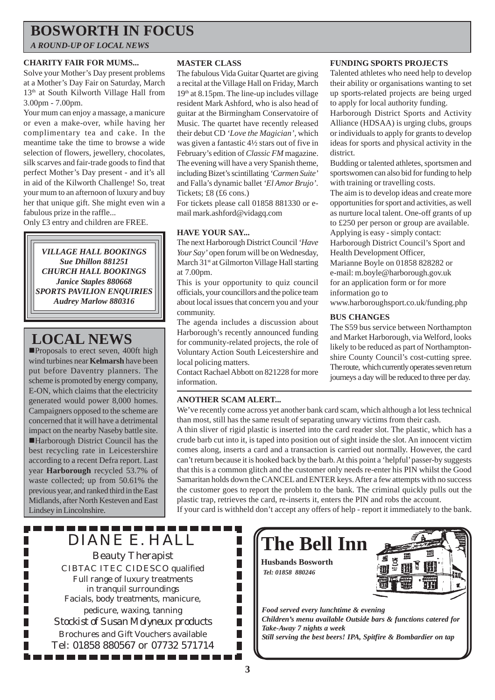## **BOSWORTH IN FOCUS**

*A ROUND-UP OF LOCAL NEWS*

### **CHARITY FAIR FOR MUMS...**

Solve your Mother's Day present problems at a Mother's Day Fair on Saturday, March 13th at South Kilworth Village Hall from 3.00pm - 7.00pm.

Your mum can enjoy a massage, a manicure or even a make-over, while having her complimentary tea and cake. In the meantime take the time to browse a wide selection of flowers, jewellery, chocolates, silk scarves and fair-trade goods to find that perfect Mother's Day present - and it's all in aid of the Kilworth Challenge! So, treat your mum to an afternoon of luxury and buy her that unique gift. She might even win a fabulous prize in the raffle...

Only £3 entry and children are FREE.

*VILLAGE HALL BOOKINGS Sue Dhillon 881251 CHURCH HALL BOOKINGS Janice Staples 880668 SPORTS PAVILION ENQUIRIES Audrey Marlow 880316*

## **LOCAL NEWS**

**IProposals to erect seven, 400ft high** wind turbines near **Kelmarsh** have been put before Daventry planners. The scheme is promoted by energy company, E-ON, which claims that the electricity generated would power 8,000 homes. Campaigners opposed to the scheme are concerned that it will have a detrimental impact on the nearby Naseby battle site. !Harborough District Council has the best recycling rate in Leicestershire according to a recent Defra report. Last year **Harborough** recycled 53.7% of waste collected; up from 50.61% the previous year, and ranked third in the East Midlands, after North Kesteven and East Lindsey in Lincolnshire.

П

П

### **MASTER CLASS**

The fabulous Vida Guitar Quartet are giving a recital at the Village Hall on Friday, March 19th at 8.15pm. The line-up includes village resident Mark Ashford, who is also head of guitar at the Birmingham Conservatoire of Music. The quartet have recently released their debut CD *'Love the Magician',* which was given a fantastic 4½ stars out of five in February's edition of *Classic FM* magazine. The evening will have a very Spanish theme, including Bizet's scintillating *'Carmen Suite'* and Falla's dynamic ballet *'El Amor Brujo'*. Tickets; £8 (£6 cons.)

For tickets please call 01858 881330 or email mark.ashford@vidagq.com

### **HAVE YOUR SAY...**

The next Harborough District Council *'Have Your Say'* open forum will be on Wednesday, March 31<sup>st</sup> at Gilmorton Village Hall starting at 7.00pm.

This is your opportunity to quiz council officials, your councillors and the police team about local issues that concern you and your community.

The agenda includes a discussion about Harborough's recently announced funding for community-related projects, the role of Voluntary Action South Leicestershire and local policing matters.

Contact Rachael Abbott on 821228 for more information.

### **ANOTHER SCAM ALERT...**

## **FUNDING SPORTS PROJECTS**

Talented athletes who need help to develop their ability or organisations wanting to set up sports-related projects are being urged to apply for local authority funding.

Harborough District Sports and Activity Alliance (HDSAA) is urging clubs, groups or individuals to apply for grants to develop ideas for sports and physical activity in the district.

Budding or talented athletes, sportsmen and sportswomen can also bid for funding to help with training or travelling costs.

The aim is to develop ideas and create more opportunities for sport and activities, as well as nurture local talent. One-off grants of up to £250 per person or group are available. Applying is easy - simply contact:

Harborough District Council's Sport and Health Development Officer,

Marianne Boyle on 01858 828282 or e-mail: m.boyle@harborough.gov.uk

for an application form or for more information go to

www.harboroughsport.co.uk/funding.php

### **BUS CHANGES**

The S59 bus service between Northampton and Market Harborough, via Welford, looks likely to be reduced as part of Northamptonshire County Council's cost-cutting spree. The route, which currently operates seven return journeys a day will be reduced to three per day.

We've recently come across yet another bank card scam, which although a lot less technical than most, still has the same result of separating unwary victims from their cash.

A thin sliver of rigid plastic is inserted into the card reader slot. The plastic, which has a crude barb cut into it, is taped into position out of sight inside the slot. An innocent victim comes along, inserts a card and a transaction is carried out normally. However, the card can't return because it is hooked back by the barb. At this point a 'helpful' passer-by suggests that this is a common glitch and the customer only needs re-enter his PIN whilst the Good Samaritan holds down the CANCEL and ENTER keys. After a few attempts with no success the customer goes to report the problem to the bank. The criminal quickly pulls out the plastic trap, retrieves the card, re-inserts it, enters the PIN and robs the account.

If your card is withheld don't accept any offers of help - report it immediately to the bank.

DIANE E. HALL Beauty Therapist CIBTAC ITEC CIDESCO qualified Full range of luxury treatments in tranquil surroundings Facials, body treatments, manicure, pedicure, waxing, tanning *Stockist of Susan Molyneux products* Brochures and Gift Vouchers available Tel: 01858 880567 or 07732 571714

. . . . . . . . . . . . . .

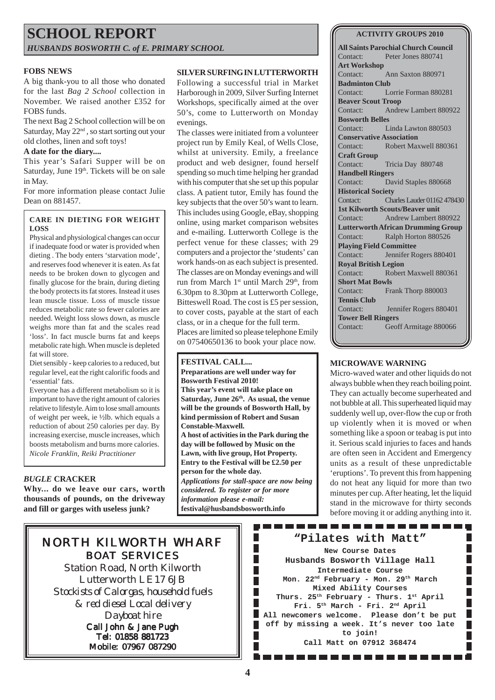## **SCHOOL REPORT** *HUSBANDS BOSWORTH C. of E. PRIMARY SCHOOL*

### **FOBS NEWS**

A big thank-you to all those who donated for the last *Bag 2 School* collection in November. We raised another £352 for FOBS funds.

The next Bag 2 School collection will be on Saturday, May 22nd , so start sorting out your old clothes, linen and soft toys!

### **A date for the diary....**

This year's Safari Supper will be on Saturday, June 19<sup>th</sup>. Tickets will be on sale in May.

For more information please contact Julie Dean on 881457.

### **CARE IN DIETING FOR WEIGHT LOSS**

Physical and physiological changes can occur if inadequate food or water is provided when dieting . The body enters 'starvation mode', and reserves food whenever it is eaten. As fat needs to be broken down to glycogen and finally glucose for the brain, during dieting the body protects its fat stores. Instead it uses lean muscle tissue. Loss of muscle tissue reduces metabolic rate so fewer calories are needed. Weight loss slows down, as muscle weighs more than fat and the scales read 'loss'. In fact muscle burns fat and keeps metabolic rate high. When muscle is depleted fat will store.

Diet sensibly - keep calories to a reduced, but regular level, eat the right calorific foods and 'essential' fats.

Everyone has a different metabolism so it is important to have the right amount of calories relative to lifestyle. Aim to lose small amounts of weight per week, ie ½lb. which equals a reduction of about 250 calories per day. By increasing exercise, muscle increases, which boosts metabolism and burns more calories. *Nicole Franklin, Reiki Practitioner*

### *BUGLE* **CRACKER**

**Why... do we leave our cars, worth thousands of pounds, on the driveway and fill or garges with useless junk?**

### **SILVER SURFING IN LUTTERWORTH**

Following a successful trial in Market Harborough in 2009, Silver Surfing Internet Workshops, specifically aimed at the over 50's, come to Lutterworth on Monday evenings.

The classes were initiated from a volunteer project run by Emily Keal, of Wells Close, whilst at university. Emily, a freelance product and web designer, found herself spending so much time helping her grandad with his computer that she set up this popular class. A patient tutor, Emily has found the key subjects that the over 50's want to learn. This includes using Google, eBay, shopping online, using market comparison websites and e-mailing. Lutterworth College is the perfect venue for these classes; with 29 computers and a projector the 'students' can work hands-on as each subject is presented. The classes are on Monday evenings and will run from March 1<sup>st</sup> until March 29<sup>th</sup>, from 6.30pm to 8.30pm at Lutterworth College, Bitteswell Road. The cost is £5 per session, to cover costs, payable at the start of each class, or in a cheque for the full term. Places are limited so please telephone Emily on 07540650136 to book your place now.

### **FESTIVAL CALL...**

**Preparations are well under way for Bosworth Festival 2010! This year's event will take place on** Saturday, June 26<sup>th</sup>. As usual, the venue **will be the grounds of Bosworth Hall, by kind permission of Robert and Susan Constable-Maxwell. A host of activities in the Park during the day will be followed by Music on the Lawn, with live group, Hot Property. Entry to the Festival will be £2.50 per person for the whole day.** *Applications for stall-space are now being considered. To register or for more information please e-mail:* **festival@husbandsbosworth.info**

> Ш П П П П

Ш П

П П

### **ACTIVITY GROUPS 2010**

**All Saints Parochial Church Council** Contact: Peter Jones 880741 **Art Workshop** Contact: Ann Saxton 880971 **Badminton Club** Contact: Lorrie Forman 880281 **Beaver Scout Troop** Contact: Andrew Lambert 880922 **Bosworth Belles** Contact: Linda Lawton 880503 **Conservative Association** Contact: Robert Maxwell 880361 **Craft Group** Contact: Tricia Day 880748 **Handbell Ringers** Contact: David Staples 880668 **Historical Society** Contact: Charles Lauder 01162 478430 **1st Kilworth Scouts/Beaver unit** Contact: Andrew Lambert 880922 **Lutterworth African Drumming Group** Contact: Ralph Horton 880526 **Playing Field Committee** Contact: Jennifer Rogers 880401 **Royal British Legion** Contact: Robert Maxwell 880361 **Short Mat Bowls** Contact: Frank Thorp 880003 **Tennis Club** Contact: Jennifer Rogers 880401 **Tower Bell Ringers** Contact: Geoff Armitage 880066

### **MICROWAVE WARNING**

Micro-waved water and other liquids do not always bubble when they reach boiling point. They can actually become superheated and not bubble at all. This superheated liquid may suddenly well up, over-flow the cup or froth up violently when it is moved or when something like a spoon or teabag is put into it. Serious scald injuries to faces and hands are often seen in Accident and Emergency units as a result of these unpredictable 'eruptions'. To prevent this from happening do not heat any liquid for more than two minutes per cup. After heating, let the liquid stand in the microwave for thirty seconds before moving it or adding anything into it.

П

## NORTH KILWORTH WHARF BOAT SERVICES

Station Road, North Kilworth Lutterworth LE17 6JB *Stockists of Calorgas, household fuels & red diesel Local delivery Dayboat hire* Call John & Jane Pugh Tel: 01858 881723 Mobile: 07967 087290

**"Pilates with Matt" New Course Dates Husbands Bosworth Village Hall Intermediate Course Mon. 22nd February - Mon. 29th March Mixed Ability Courses Thurs. 25th February - Thurs. 1st April Fri. 5th March - Fri. 2nd April All newcomers welcome. Please don't be put off by missing a week. It's never too late to join! Call Matt on 07912 368474**

------------

, . . . . . . . . . . . . . .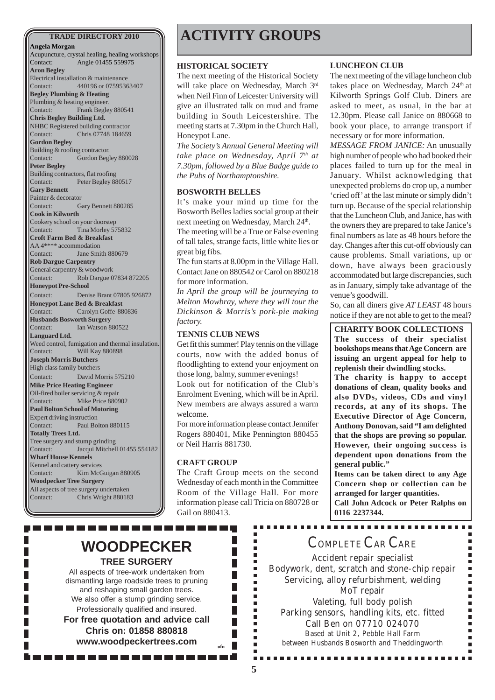**Angela Morgan** Acupuncture, crystal healing, healing workshops Contact: Angie 01455 559975 **Aron Begley** Electrical installation & maintenance Contact: 440196 or 07595363407 **Begley Plumbing & Heating** Plumbing & heating engineer. Contact: Frank Begley 880541 **Chris Begley Building Ltd.** NHBC Registered building contractor Contact: Chris 07748 184659 **Gordon Begley** Building & roofing contractor. Contact: Gordon Begley 880028 **Peter Begley** Building contractors, flat roofing Contact: Peter Begley 880517 **Gary Bennett** Painter & decorator Contact: Gary Bennett 880285 **Cook in Kilworth** Cookery school on your doorstep Contact: Tina Morley 575832 **Croft Farm Bed & Breakfast** AA 4\*\*\*\* accommodation Contact: Jane Smith 880679 **Rob Dargue Carpentry** General carpentry & woodwork Contact: Rob Dargue 07834 872205 **Honeypot Pre-School** Contact: Denise Brant 07805 926872 **Honeypot Lane Bed & Breakfast** Contact: Carolyn Goffe 880836 **Husbands Bosworth Surgery** Contact: Ian Watson 880522 **Languard Ltd.** Weed control, fumigation and thermal insulation. Contact: Will Kay 880898 **Joseph Morris Butchers** High class family butchers Contact: David Morris 575210 **Mike Price Heating Engineer** Oil-fired boiler servicing & repair Contact: Mike Price 880902 **Paul Bolton School of Motoring** Expert driving instruction Contact: Paul Bolton 880115 **Totally Trees Ltd.** Tree surgery and stump grinding Contact: Jacqui Mitchell 01455 554182 **Wharf House Kennels** Kennel and cattery services Contact: Kim McGuigan 880905 **Woodpecker Tree Surgery** All aspects of tree surgery undertaken Contact: Chris Wright 880183

## **TRADE DIRECTORY 2010 ACTIVITY GROUPS**

#### **HISTORICAL SOCIETY**

The next meeting of the Historical Society will take place on Wednesday, March 3rd when Neil Finn of Leicester University will give an illustrated talk on mud and frame building in South Leicestershire. The meeting starts at 7.30pm in the Church Hall, Honeypot Lane.

*The Society's Annual General Meeting will take place on Wednesday, April 7th at 7.30pm, followed by a Blue Badge guide to the Pubs of Northamptonshire.*

### **BOSWORTH BELLES**

It's make your mind up time for the Bosworth Belles ladies social group at their next meeting on Wednesday, March 24<sup>th</sup>.

The meeting will be a True or False evening of tall tales, strange facts, little white lies or great big fibs.

The fun starts at 8.00pm in the Village Hall. Contact Jane on 880542 or Carol on 880218 for more information.

*In April the group will be journeying to Melton Mowbray, where they will tour the Dickinson & Morris's pork-pie making factory.*

### **TENNIS CLUB NEWS**

Get fit this summer! Play tennis on the village courts, now with the added bonus of floodlighting to extend your enjoyment on those long, balmy, summer evenings!

Look out for notification of the Club's Enrolment Evening, which will be in April. New members are always assured a warm welcome.

For more information please contact Jennifer Rogers 880401, Mike Pennington 880455 or Neil Harris 881730.

### **CRAFT GROUP**

The Craft Group meets on the second Wednesday of each month in the Committee Room of the Village Hall. For more information please call Tricia on 880728 or Gail on 880413.

> × ×

> Ė × É r ٠

> п п п п × Î. Ė п É Ē.

П

 $\overline{\phantom{a}}$ 

#### **LUNCHEON CLUB**

The next meeting of the village luncheon club takes place on Wednesday, March 24<sup>th</sup> at Kilworth Springs Golf Club. Diners are asked to meet, as usual, in the bar at 12.30pm. Please call Janice on 880668 to book your place, to arrange transport if necessary or for more information.

*MESSAGE FROM JANICE:* An unusually high number of people who had booked their places failed to turn up for the meal in January. Whilst acknowledging that unexpected problems do crop up, a number 'cried off' at the last minute or simply didn't turn up. Because of the special relationship that the Luncheon Club, and Janice, has with the owners they are prepared to take Janice's final numbers as late as 48 hours before the day. Changes after this cut-off obviously can cause problems. Small variations, up or down, have always been graciously accommodated but large discrepancies, such as in January, simply take advantage of the venue's goodwill.

So, can all diners give *AT LEAST* 48 hours notice if they are not able to get to the meal?

**CHARITY BOOK COLLECTIONS**

**The success of their specialist bookshops means that Age Concern are issuing an urgent appeal for help to replenish their dwindling stocks.**

**The charity is happy to accept donations of clean, quality books and also DVDs, videos, CDs and vinyl records, at any of its shops. The Executive Director of Age Concern, Anthony Donovan, said "I am delighted that the shops are proving so popular. However, their ongoing success is dependent upon donations from the general public."**

**Items can be taken direct to any Age Concern shop or collection can be arranged for larger quantities. Call John Adcock or Peter Ralphs on 0116 2237344.**

## **WOODPECKER TREE SURGERY**

. . . . . . . . . .

All aspects of tree-work undertaken from dismantling large roadside trees to pruning and reshaping small garden trees. We also offer a stump grinding service. Professionally qualified and insured. **For free quotation and advice call Chris on: 01858 880818 www.woodpeckertrees.com ufn**

## COMPLETE CAR CARE

Accident repair specialist Bodywork, dent, scratch and stone-chip repair Servicing, alloy refurbishment, welding MoT repair Valeting, full body polish Parking sensors, handling kits, etc. fitted Call Ben on 07710 024070 Based at Unit 2, Pebble Hall Farm between Husbands Bosworth and Theddingworth

..............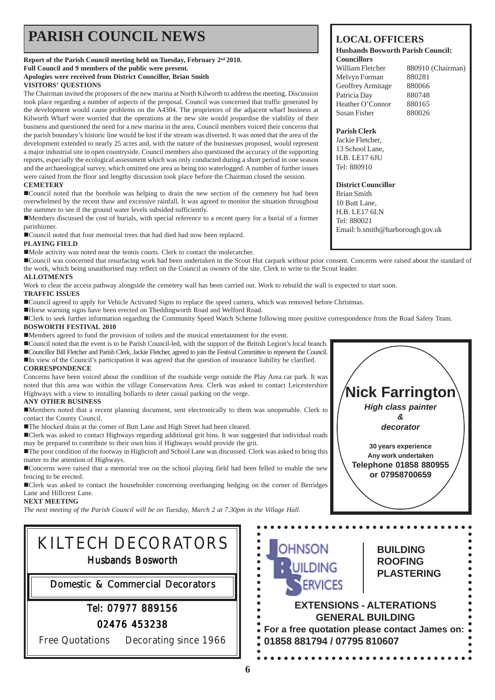## **PARISH COUNCIL NEWS** LOCAL OFFICERS

#### **Report of the Parish Council meeting held on Tuesday, February 2nd 2010. Full Council and 9 members of the public were present. Apologies were received from District Councillor, Brian Smith VISITORS' QUESTIONS**

The Chairman invited the proposers of the new marina at North Kilworth to address the meeting. Discussion took place regarding a number of aspects of the proposal. Council was concerned that traffic generated by the development would cause problems on the A4304. The proprietors of the adjacent wharf business at Kilworth Wharf were worried that the operations at the new site would jeopardise the viability of their business and questioned the need for a new marina in the area. Council members voiced their concerns that the parish boundary's historic line would be lost if the stream was diverted. It was noted that the area of the development extended to nearly 25 acres and, with the nature of the businesses proposed, would represent a major industrial site in open countryside. Council members also questioned the accuracy of the supporting reports, especially the ecological assessment which was only conducted during a short period in one season and the archaeological survey, which omitted one area as being too waterlogged. A number of further issues were raised from the floor and lengthy discussion took place before the Chairman closed the session.

### **CEMETERY**

!Council noted that the borehole was helping to drain the new section of the cemetery but had been overwhelmed by the recent thaw and excessive rainfall. It was agreed to monitor the situation throughout the summer to see if the ground water levels subsided sufficiently.

!Members discussed the cost of burials, with special reference to a recent query for a burial of a former parishioner.

■ Council noted that four memorial trees that had died had now been replaced.

### **PLAYING FIELD**

!Mole activity was noted near the tennis courts. Clerk to contact the molecatcher.

!Council was concerned that resurfacing work had been undertaken in the Scout Hut carpark without prior consent. Concerns were raised about the standard of the work, which being unauthorised may reflect on the Council as owners of the site. Clerk to write to the Scout leader. **ALLOTMENTS**

Work to clear the access pathway alongside the cemetery wall has been carried out. Work to rebuild the wall is expected to start soon.

### **TRAFFIC ISSUES**

!Council agreed to apply for Vehicle Activated Signs to replace the speed camera, which was removed before Christmas.

!Horse warning signs have been erected on Theddingworth Road and Welford Road.

!Clerk to seek further information regarding the Community Speed Watch Scheme following more positive correspondence from the Road Safety Team. **BOSWORTH FESTIVAL 2010**

!Members agreed to fund the provision of toilets and the musical entertainment for the event.

!Council noted that the event is to be Parish Council-led, with the support of the British Legion's local branch.

!Councillor Bill Fletcher and Parish Clerk, Jackie Fletcher, agreed to join the Festival Committee to represent the Council. !In view of the Council's participation it was agreed that the question of insurance liability be clarified.

### **CORRESPONDENCE**

Concerns have been voiced about the condition of the roadside verge outside the Play Area car park. It was noted that this area was within the village Conservation Area. Clerk was asked to contact Leicestershire Highways with a view to installing bollards to deter casual parking on the verge.

### **ANY OTHER BUSINESS**

!Members noted that a recent planning document, sent electronically to them was unopenable. Clerk to contact the County Council.

!The blocked drain at the corner of Butt Lane and High Street had been cleared.

!Clerk was asked to contact Highways regarding additional grit bins. It was suggested that individual roads may be prepared to contribute to their own bins if Highways would provide the grit.

!The poor condition of the footway in Highcroft and School Lane was discussed. Clerk was asked to bring this matter to the attention of Highways.

!Concerns were raised that a memorial tree on the school playing field had been felled to enable the new fencing to be erected.

!Clerk was asked to contact the householder concerning overhanging hedging on the corner of Berridges Lane and Hillcrest Lane.

### **NEXT MEETING**

*The next meeting of the Parish Council will be on Tuesday, March 2 at 7.30pm in the Village Hall.*

# KILTECH DECORATORS Husbands Bosworth

Domestic & Commercial Decorators

## Tel: 07977 889156

### 02476 453238

Free Quotations Decorating since 1966

#### **Husbands Bosworth Parish Council: Councillors**

William Fletcher 880910 (Chairman) Melvyn Forman 880281 Geoffrey Armitage 880066 Patricia Day 880748 Heather O'Connor 880165 Susan Fisher 880026

### **Parish Clerk**

Jackie Fletcher, 13 School Lane, H.B. LE17 6JU Tel: 880910

### **District Councillor**

Brian Smith 10 Butt Lane, H.B. LE17 6LN Tel: 880021 Email: b.smith@harborough.gov.uk



**BUILDING**

## **ROOFING PLASTERING ERVICES EXTENSIONS - ALTERATIONS GENERAL BUILDING**

**For a free quotation please contact James on:**  $\bullet$ **01858 881794 / 07795 810607**

**OHNSON** 

 $\bullet$  $\bullet$  $\bullet$  $\bullet$  $\begin{array}{c} \bullet \\ \bullet \\ \bullet \\ \bullet \end{array}$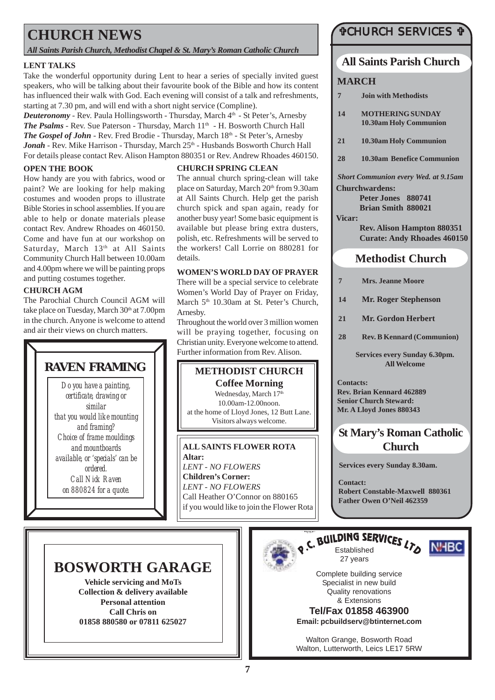## **CHURCH NEWS**

*All Saints Parish Church, Methodist Chapel & St. Mary's Roman Catholic Church*

### **LENT TALKS**

Take the wonderful opportunity during Lent to hear a series of specially invited guest speakers, who will be talking about their favourite book of the Bible and how its content has influenced their walk with God. Each evening will consist of a talk and refreshments, starting at 7.30 pm, and will end with a short night service (Compline).

*Deuteronomy* - Rev. Paula Hollingsworth - Thursday, March 4th - St Peter's, Arnesby **The Psalms** - Rev. Sue Paterson - Thursday, March 11<sup>th</sup> - H. Bosworth Church Hall *The Gospel of John* - Rev. Fred Brodie - Thursday, March 18<sup>th</sup> - St Peter's, Arnesby Jonah - Rev. Mike Harrison - Thursday, March 25<sup>th</sup> - Husbands Bosworth Church Hall For details please contact Rev. Alison Hampton 880351 or Rev. Andrew Rhoades 460150.

### **OPEN THE BOOK**

How handy are you with fabrics, wood or paint? We are looking for help making costumes and wooden props to illustrate Bible Stories in school assemblies. If you are able to help or donate materials please contact Rev. Andrew Rhoades on 460150. Come and have fun at our workshop on Saturday, March 13<sup>th</sup> at All Saints Community Church Hall between 10.00am and 4.00pm where we will be painting props and putting costumes together.

### **CHURCH AGM**

The Parochial Church Council AGM will take place on Tuesday, March 30th at 7.00pm in the church. Anyone is welcome to attend and air their views on church matters.

## **RAVEN FRAMING**

*Do you have a painting, certificate, drawing or similar that you would like mounting and framing? Choice of frame mouldings and mountboards available, or 'specials' can be ordered. Call Nick Raven on 880824 for a quote.*

### **CHURCH SPRING CLEAN**

The annual church spring-clean will take place on Saturday, March 20<sup>th</sup> from 9.30am at All Saints Church. Help get the parish church spick and span again, ready for another busy year! Some basic equipment is available but please bring extra dusters, polish, etc. Refreshments will be served to the workers! Call Lorrie on 880281 for details.

### **WOMEN'S WORLD DAY OF PRAYER**

There will be a special service to celebrate Women's World Day of Prayer on Friday, March 5<sup>th</sup> 10.30am at St. Peter's Church, Arnesby.

Throughout the world over 3 million women will be praying together, focusing on Christian unity. Everyone welcome to attend. Further information from Rev. Alison.



**Altar:** *LENT - NO FLOWERS* **Children's Corner:** *LENT - NO FLOWERS* Call Heather O'Connor on 880165 if you would like to join the Flower Rota

### "CHURCH SERVICES "

### **All Saints Parish Church**

### **MARCH**

- **7 Join with Methodists**
- **14 MOTHERING SUNDAY 10.30am Holy Communion**
- **21 10.30am Holy Communion**
- **28 10.30am Benefice Communion**

*Short Communion every Wed. at 9.15am* **Churchwardens:**

> **Peter Jones 880741 Brian Smith 880021**

### **Vicar:**

**Rev. Alison Hampton 880351 Curate: Andy Rhoades 460150**

### **Methodist Church**

| $\overline{7}$ | <b>Mrs. Jeanne Moore</b>          |
|----------------|-----------------------------------|
| 14             | <b>Mr. Roger Stephenson</b>       |
| 21             | <b>Mr. Gordon Herbert</b>         |
| 28             | <b>Rev. B Kennard (Communion)</b> |

**Services every Sunday 6.30pm. All Welcome**

**Contacts: Rev. Brian Kennard 462889 Senior Church Steward: Mr. A Lloyd Jones 880343**

## **St Mary's Roman Catholic Church**

**Services every Sunday 8.30am.**

**Contact: Robert Constable-Maxwell 880361 Father Owen O'Neil 462359**

## **BOSWORTH GARAGE**

**Vehicle servicing and MoTs Collection & delivery available Personal attention Call Chris on 01858 880580 or 07811 625027**



# Q.C. BUILDING SERVICES LTO NHBC

27 years



Complete building service Specialist in new build Quality renovations & Extensions

**Tel/Fax 01858 463900 Email: pcbuildserv@btinternet.com**

Walton Grange, Bosworth Road Walton, Lutterworth, Leics LE17 5RW